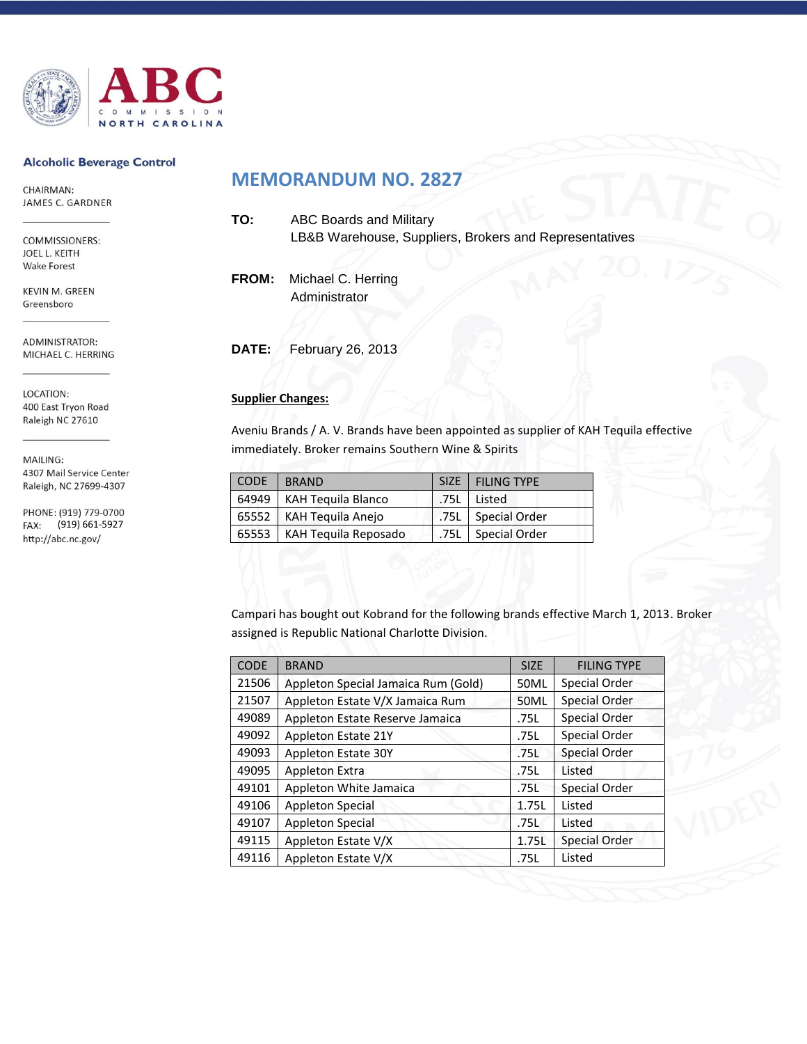

#### **Alcoholic Beverage Control**

CHAIRMAN: JAMES C. GARDNER

COMMISSIONERS: JOEL L. KEITH **Wake Forest** 

KEVIN M. GREEN Greensboro

ADMINISTRATOR: MICHAEL C. HERRING

LOCATION: 400 East Tryon Road Raleigh NC 27610

MAILING: 4307 Mail Service Center Raleigh, NC 27699-4307

PHONE: (919) 779-0700 (919) 661-5927 FAX: http://abc.nc.gov/

## **MEMORANDUM NO. 2827**

| TO:          | <b>ABC Boards and Military</b><br>LB&B Warehouse, Suppliers, Brokers and Representatives |
|--------------|------------------------------------------------------------------------------------------|
| <b>FROM:</b> | Michael C. Herring<br>Administrator                                                      |
|              |                                                                                          |

**DATE:** February 26, 2013

### **Supplier Changes:**

Aveniu Brands / A. V. Brands have been appointed as supplier of KAH Tequila effective immediately. Broker remains Southern Wine & Spirits

| <b>CODE</b> | <b>BRAND</b>                 | SIZE   FILING TYPE   |
|-------------|------------------------------|----------------------|
|             | 64949   KAH Tequila Blanco   | .75L Listed          |
|             | 65552   KAH Tequila Anejo    | .75L   Special Order |
|             | 65553   KAH Tequila Reposado | .75L Special Order   |

Campari has bought out Kobrand for the following brands effective March 1, 2013. Broker assigned is Republic National Charlotte Division.

| <b>CODE</b> | <b>BRAND</b>                        | <b>SIZE</b> | <b>FILING TYPE</b> |
|-------------|-------------------------------------|-------------|--------------------|
| 21506       | Appleton Special Jamaica Rum (Gold) | 50ML        | Special Order      |
| 21507       | Appleton Estate V/X Jamaica Rum     | 50ML        | Special Order      |
| 49089       | Appleton Estate Reserve Jamaica     | .75L        | Special Order      |
| 49092       | Appleton Estate 21Y                 | .75L        | Special Order      |
| 49093       | Appleton Estate 30Y                 | .75L        | Special Order      |
| 49095       | <b>Appleton Extra</b>               | .75L        | Listed             |
| 49101       | Appleton White Jamaica              | .75L        | Special Order      |
| 49106       | <b>Appleton Special</b>             | 1.75L       | Listed             |
| 49107       | <b>Appleton Special</b>             | .75L        | Listed             |
| 49115       | Appleton Estate V/X                 | 1.75L       | Special Order      |
| 49116       | Appleton Estate V/X                 | .75L        | Listed             |
|             |                                     |             |                    |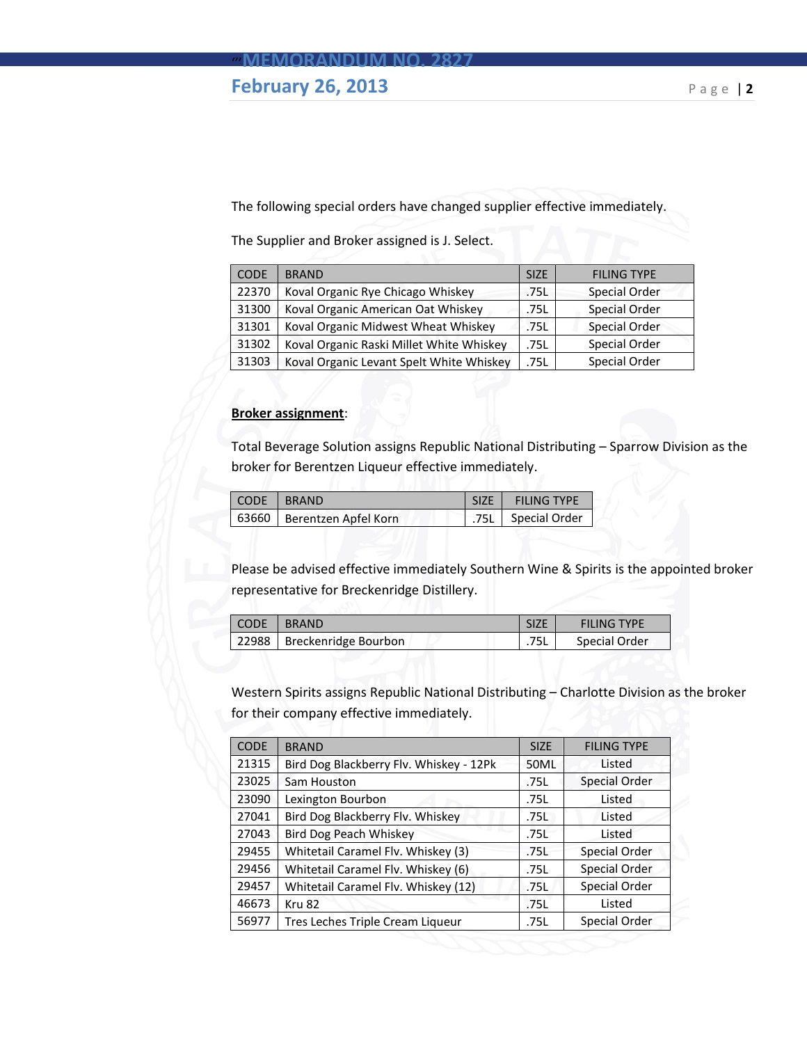## **February 26, 2013** Page |2

The following special orders have changed supplier effective immediately.

The Supplier and Broker assigned is J. Select.

| <b>CODE</b> | <b>BRAND</b>                             | <b>SIZE</b> | <b>FILING TYPE</b>   |
|-------------|------------------------------------------|-------------|----------------------|
| 22370       | Koval Organic Rye Chicago Whiskey        | .75L        | <b>Special Order</b> |
| 31300       | Koval Organic American Oat Whiskey       | .75L        | <b>Special Order</b> |
| 31301       | Koval Organic Midwest Wheat Whiskey      | .75L        | <b>Special Order</b> |
| 31302       | Koval Organic Raski Millet White Whiskey | .75L        | Special Order        |
| 31303       | Koval Organic Levant Spelt White Whiskey | .75L        | Special Order        |

#### **Broker assignment**:

Total Beverage Solution assigns Republic National Distributing – Sparrow Division as the broker for Berentzen Liqueur effective immediately.

| L CODE | <b>T BRAND</b>               | <b>SIZE</b> | <b>FILING TYPE</b> |
|--------|------------------------------|-------------|--------------------|
|        | 63660   Berentzen Apfel Korn |             | 75L Special Order  |

Please be advised effective immediately Southern Wine & Spirits is the appointed broker representative for Breckenridge Distillery.

| CODE | I BRAND                      |      | <b>FILING TYPE</b> |
|------|------------------------------|------|--------------------|
|      | 22988   Breckenridge Bourbon | .75L | Special Order      |

Western Spirits assigns Republic National Distributing – Charlotte Division as the broker for their company effective immediately.

| <b>CODE</b> | <b>BRAND</b>                            | <b>SIZE</b> | <b>FILING TYPE</b>   |
|-------------|-----------------------------------------|-------------|----------------------|
| 21315       | Bird Dog Blackberry Flv. Whiskey - 12Pk | 50ML        | Listed               |
| 23025       | Sam Houston                             | .75L        | Special Order        |
| 23090       | Lexington Bourbon                       | .75L        | Listed               |
| 27041       | Bird Dog Blackberry Flv. Whiskey        | .75L        | Listed               |
| 27043       | <b>Bird Dog Peach Whiskey</b>           | .75L        | Listed               |
| 29455       | Whitetail Caramel Flv. Whiskey (3)      | .75L        | Special Order        |
| 29456       | Whitetail Caramel Flv. Whiskey (6)      | .75L        | Special Order        |
| 29457       | Whitetail Caramel Flv. Whiskey (12)     | .75L        | <b>Special Order</b> |
| 46673       | Kru 82                                  | .75L        | Listed               |
| 56977       | Tres Leches Triple Cream Liqueur        | .75L        | Special Order        |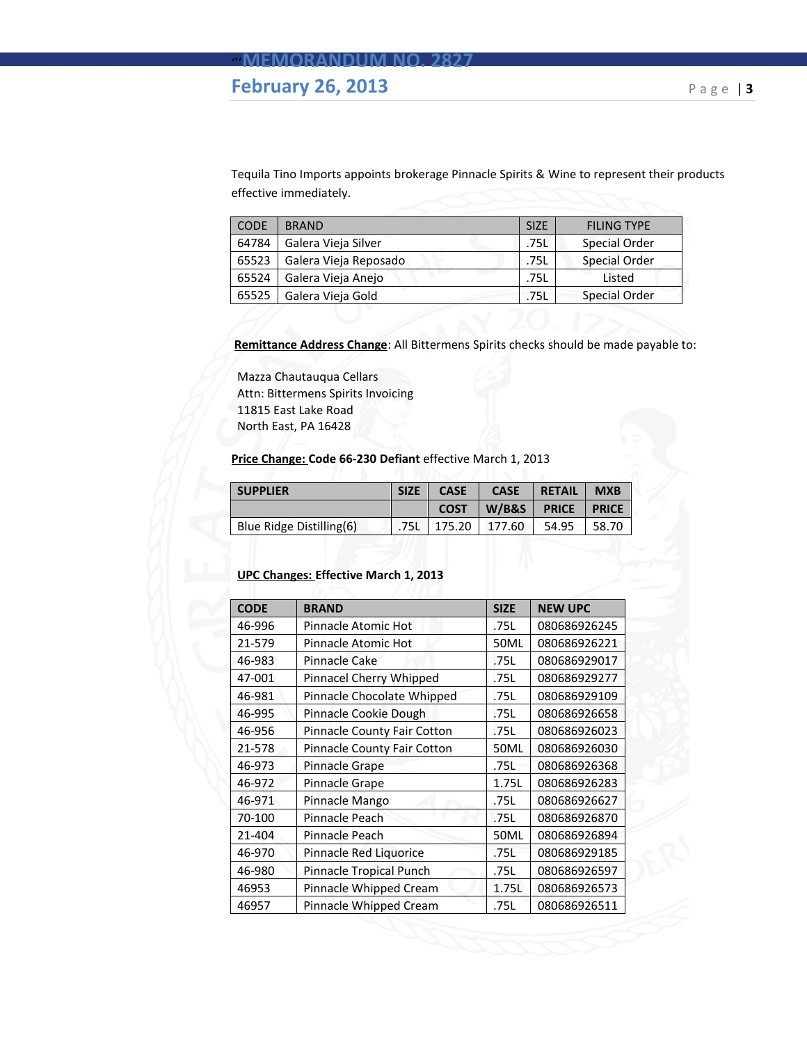## **February 26, 2013** Page |3

Tequila Tino Imports appoints brokerage Pinnacle Spirits & Wine to represent their products effective immediately.

| <b>CODE</b> | <b>BRAND</b>          | <b>SIZE</b> | <b>FILING TYPE</b>   |
|-------------|-----------------------|-------------|----------------------|
| 64784       | Galera Vieja Silver   | .75L        | <b>Special Order</b> |
| 65523       | Galera Vieja Reposado | .75L        | <b>Special Order</b> |
| 65524       | Galera Vieja Anejo    | .75L        | Listed               |
| 65525       | Galera Vieja Gold     | .75L        | <b>Special Order</b> |

**Remittance Address Change**: All Bittermens Spirits checks should be made payable to:

Mazza Chautauqua Cellars Attn: Bittermens Spirits Invoicing 11815 East Lake Road North East, PA 16428

**Price Change: Code 66-230 Defiant** effective March 1, 2013

| <b>SUPPLIER</b>          | <b>SIZE</b> | <b>CASE</b> | <b>CASE</b> | <b>RETAIL</b> | <b>MXB</b>   |
|--------------------------|-------------|-------------|-------------|---------------|--------------|
|                          |             | <b>COST</b> | W/B&S       | <b>PRICE</b>  | <b>PRICE</b> |
| Blue Ridge Distilling(6) | .75L        | 175.20      | 177.60      | 54.95         | 58.70        |

#### **UPC Changes: Effective March 1, 2013**

| <b>CODE</b> | <b>BRAND</b>                | <b>SIZE</b> | <b>NEW UPC</b> |
|-------------|-----------------------------|-------------|----------------|
|             |                             |             |                |
| 46-996      | Pinnacle Atomic Hot         | .75L        | 080686926245   |
| 21-579      | Pinnacle Atomic Hot         | 50ML        | 080686926221   |
| 46-983      | Pinnacle Cake               | .75L        | 080686929017   |
| 47-001      | Pinnacel Cherry Whipped     | .75L        | 080686929277   |
| 46-981      | Pinnacle Chocolate Whipped  | .75L        | 080686929109   |
| 46-995      | Pinnacle Cookie Dough       | .75L        | 080686926658   |
| 46-956      | Pinnacle County Fair Cotton | .75L        | 080686926023   |
| 21-578      | Pinnacle County Fair Cotton | <b>50ML</b> | 080686926030   |
| 46-973      | Pinnacle Grape              | .75L        | 080686926368   |
| 46-972      | Pinnacle Grape              | 1.75L       | 080686926283   |
| 46-971      | Pinnacle Mango              | .75L        | 080686926627   |
| 70-100      | Pinnacle Peach              | .75L        | 080686926870   |
| 21-404      | Pinnacle Peach              | <b>50ML</b> | 080686926894   |
| 46-970      | Pinnacle Red Liquorice      | .75L        | 080686929185   |
| 46-980      | Pinnacle Tropical Punch     | .75L        | 080686926597   |
| 46953       | Pinnacle Whipped Cream      | 1.75L       | 080686926573   |
| 46957       | Pinnacle Whipped Cream      | .75L        | 080686926511   |